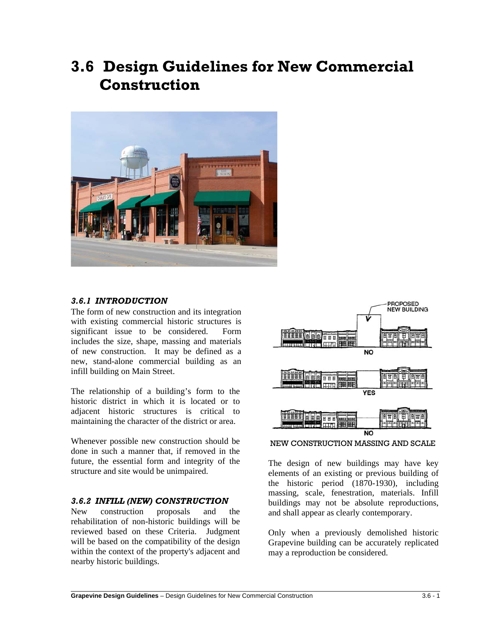# **3.6 Design Guidelines for New Commercial Construction**



## *3.6.1 INTRODUCTION*

The form of new construction and its integration with existing commercial historic structures is significant issue to be considered. Form includes the size, shape, massing and materials of new construction. It may be defined as a new, stand-alone commercial building as an infill building on Main Street.

The relationship of a building's form to the historic district in which it is located or to adjacent historic structures is critical to maintaining the character of the district or area.

Whenever possible new construction should be done in such a manner that, if removed in the future, the essential form and integrity of the structure and site would be unimpaired.

### *3.6.2 INFILL (NEW) CONSTRUCTION*

New construction proposals and the rehabilitation of non-historic buildings will be reviewed based on these Criteria. Judgment will be based on the compatibility of the design within the context of the property's adjacent and nearby historic buildings.

 $\overline{a}$ 



NEW CONSTRUCTION MASSING AND SCALE

The design of new buildings may have key elements of an existing or previous building of the historic period (1870-1930), including massing, scale, fenestration, materials. Infill buildings may not be absolute reproductions, and shall appear as clearly contemporary.

Only when a previously demolished historic Grapevine building can be accurately replicated may a reproduction be considered.